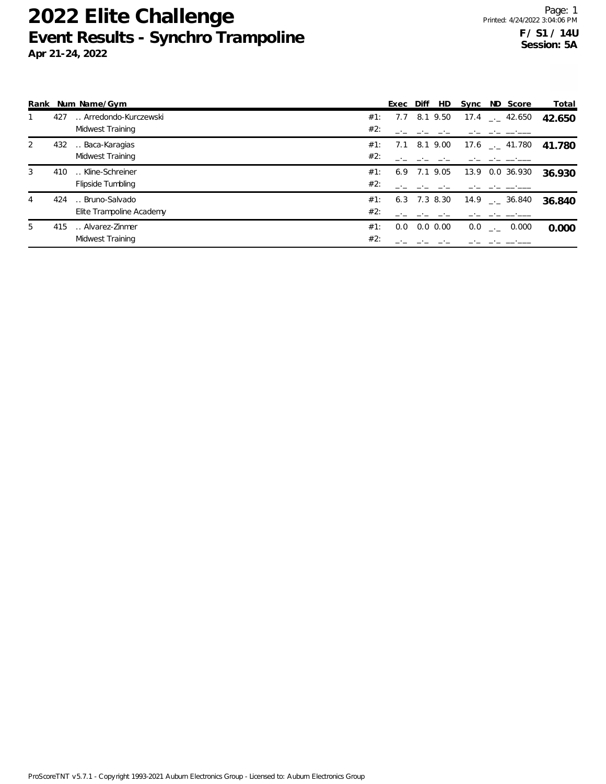## **2022 Elite Challenge Event Results - Synchro Trampoline**

**Apr 21-24, 2022**

| Rank |     | Num Name/Gym             |     | Exec | Diff | HD               | Sync | ND Score                      |       | Total  |
|------|-----|--------------------------|-----|------|------|------------------|------|-------------------------------|-------|--------|
|      | 427 | Arredondo-Kurczewski     | #1: | 7.7  |      | 8.1 9.50         |      | 17.4 $\qquad$ 42.650          |       | 42.650 |
|      |     | Midwest Training         | #2: |      |      |                  |      |                               |       |        |
| 2    | 432 | Baca-Karagias            | #1: |      |      | 7.1 8.1 9.00     |      | $17.6$ $_{\leftarrow}$ 41.780 |       | 41.780 |
|      |     | Midwest Training         | #2: |      |      |                  |      |                               |       |        |
| 3    | 410 | Kline-Schreiner          | #1: |      |      | $6.9$ 7.1 $9.05$ |      | 13.9 0.0 36.930               |       | 36.930 |
|      |     | Flipside Tumbling        | #2: |      |      |                  |      |                               |       |        |
| 4    | 424 | Bruno-Salvado            | #1: |      |      | $6.3$ 7.3 8.30   |      | $14.9$ $\phantom{0}-.26.840$  |       | 36.840 |
|      |     | Elite Trampoline Academy | #2: |      |      |                  |      |                               |       |        |
| 5    | 415 | Alvarez-Zinmer           | #1: | 0.0  |      | $0.0\ 0.00$      | 0.0  | <b>College</b>                | 0.000 | 0.000  |
|      |     | Midwest Training         | #2: |      |      |                  |      |                               |       |        |